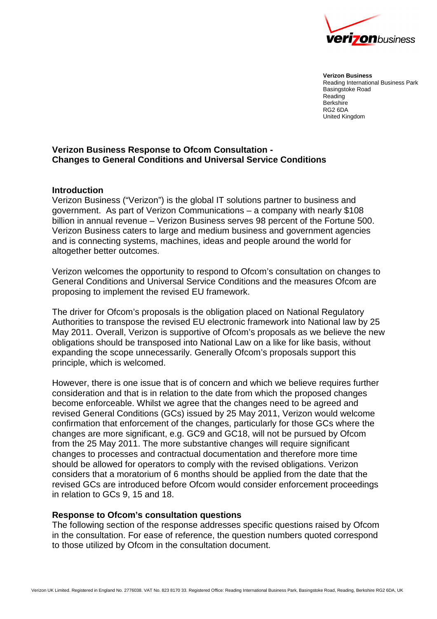

**Verizon Business** Reading International Business Park Basingstoke Road Reading **Berkshire** RG2 6DA United Kingdom

# **Verizon Business Response to Ofcom Consultation - Changes to General Conditions and Universal Service Conditions**

### **Introduction**

Verizon Business ("Verizon") is the global IT solutions partner to business and government. As part of Verizon Communications – a company with nearly \$108 billion in annual revenue – Verizon Business serves 98 percent of the Fortune 500. Verizon Business caters to large and medium business and government agencies and is connecting systems, machines, ideas and people around the world for altogether better outcomes.

Verizon welcomes the opportunity to respond to Ofcom's consultation on changes to General Conditions and Universal Service Conditions and the measures Ofcom are proposing to implement the revised EU framework.

The driver for Ofcom's proposals is the obligation placed on National Regulatory Authorities to transpose the revised EU electronic framework into National law by 25 May 2011. Overall, Verizon is supportive of Ofcom's proposals as we believe the new obligations should be transposed into National Law on a like for like basis, without expanding the scope unnecessarily. Generally Ofcom's proposals support this principle, which is welcomed.

However, there is one issue that is of concern and which we believe requires further consideration and that is in relation to the date from which the proposed changes become enforceable. Whilst we agree that the changes need to be agreed and revised General Conditions (GCs) issued by 25 May 2011, Verizon would welcome confirmation that enforcement of the changes, particularly for those GCs where the changes are more significant, e.g. GC9 and GC18, will not be pursued by Ofcom from the 25 May 2011. The more substantive changes will require significant changes to processes and contractual documentation and therefore more time should be allowed for operators to comply with the revised obligations. Verizon considers that a moratorium of 6 months should be applied from the date that the revised GCs are introduced before Ofcom would consider enforcement proceedings in relation to GCs 9, 15 and 18.

### **Response to Ofcom's consultation questions**

The following section of the response addresses specific questions raised by Ofcom in the consultation. For ease of reference, the question numbers quoted correspond to those utilized by Ofcom in the consultation document.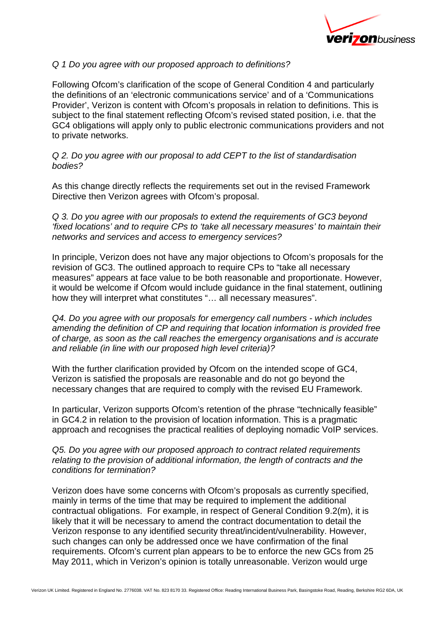

# Q 1 Do you agree with our proposed approach to definitions?

Following Ofcom's clarification of the scope of General Condition 4 and particularly the definitions of an 'electronic communications service' and of a 'Communications Provider', Verizon is content with Ofcom's proposals in relation to definitions. This is subject to the final statement reflecting Ofcom's revised stated position, i.e. that the GC4 obligations will apply only to public electronic communications providers and not to private networks.

Q 2. Do you agree with our proposal to add CEPT to the list of standardisation bodies?

As this change directly reflects the requirements set out in the revised Framework Directive then Verizon agrees with Ofcom's proposal.

Q 3. Do you agree with our proposals to extend the requirements of GC3 beyond 'fixed locations' and to require CPs to 'take all necessary measures' to maintain their networks and services and access to emergency services?

In principle, Verizon does not have any major objections to Ofcom's proposals for the revision of GC3. The outlined approach to require CPs to "take all necessary measures" appears at face value to be both reasonable and proportionate. However, it would be welcome if Ofcom would include guidance in the final statement, outlining how they will interpret what constitutes "… all necessary measures".

Q4. Do you agree with our proposals for emergency call numbers - which includes amending the definition of CP and requiring that location information is provided free of charge, as soon as the call reaches the emergency organisations and is accurate and reliable (in line with our proposed high level criteria)?

With the further clarification provided by Ofcom on the intended scope of GC4, Verizon is satisfied the proposals are reasonable and do not go beyond the necessary changes that are required to comply with the revised EU Framework.

In particular, Verizon supports Ofcom's retention of the phrase "technically feasible" in GC4.2 in relation to the provision of location information. This is a pragmatic approach and recognises the practical realities of deploying nomadic VoIP services.

Q5. Do you agree with our proposed approach to contract related requirements relating to the provision of additional information, the length of contracts and the conditions for termination?

Verizon does have some concerns with Ofcom's proposals as currently specified, mainly in terms of the time that may be required to implement the additional contractual obligations. For example, in respect of General Condition 9.2(m), it is likely that it will be necessary to amend the contract documentation to detail the Verizon response to any identified security threat/incident/vulnerability. However, such changes can only be addressed once we have confirmation of the final requirements. Ofcom's current plan appears to be to enforce the new GCs from 25 May 2011, which in Verizon's opinion is totally unreasonable. Verizon would urge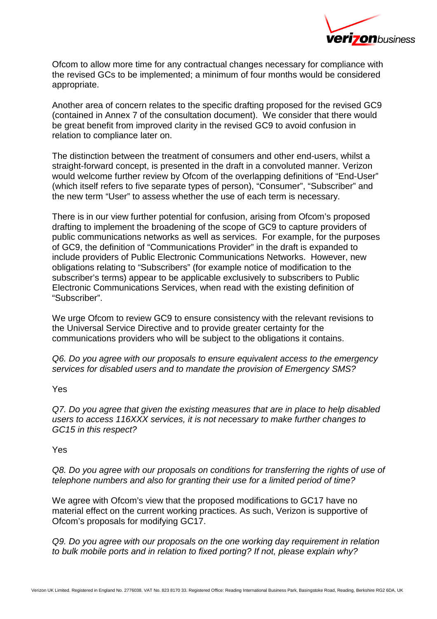

Ofcom to allow more time for any contractual changes necessary for compliance with the revised GCs to be implemented; a minimum of four months would be considered appropriate.

Another area of concern relates to the specific drafting proposed for the revised GC9 (contained in Annex 7 of the consultation document). We consider that there would be great benefit from improved clarity in the revised GC9 to avoid confusion in relation to compliance later on.

The distinction between the treatment of consumers and other end-users, whilst a straight-forward concept, is presented in the draft in a convoluted manner. Verizon would welcome further review by Ofcom of the overlapping definitions of "End-User" (which itself refers to five separate types of person), "Consumer", "Subscriber" and the new term "User" to assess whether the use of each term is necessary.

There is in our view further potential for confusion, arising from Ofcom's proposed drafting to implement the broadening of the scope of GC9 to capture providers of public communications networks as well as services. For example, for the purposes of GC9, the definition of "Communications Provider" in the draft is expanded to include providers of Public Electronic Communications Networks. However, new obligations relating to "Subscribers" (for example notice of modification to the subscriber's terms) appear to be applicable exclusively to subscribers to Public Electronic Communications Services, when read with the existing definition of "Subscriber".

We urge Ofcom to review GC9 to ensure consistency with the relevant revisions to the Universal Service Directive and to provide greater certainty for the communications providers who will be subject to the obligations it contains.

Q6. Do you agree with our proposals to ensure equivalent access to the emergency services for disabled users and to mandate the provision of Emergency SMS?

Yes

Q7. Do you agree that given the existing measures that are in place to help disabled users to access 116XXX services, it is not necessary to make further changes to GC15 in this respect?

Yes

Q8. Do you agree with our proposals on conditions for transferring the rights of use of telephone numbers and also for granting their use for a limited period of time?

We agree with Ofcom's view that the proposed modifications to GC17 have no material effect on the current working practices. As such, Verizon is supportive of Ofcom's proposals for modifying GC17.

Q9. Do you agree with our proposals on the one working day requirement in relation to bulk mobile ports and in relation to fixed porting? If not, please explain why?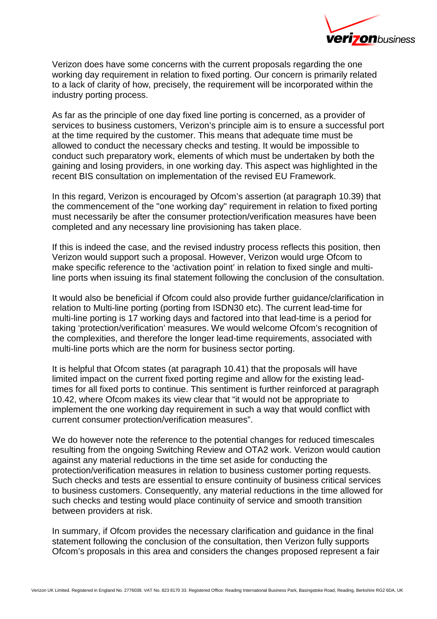

Verizon does have some concerns with the current proposals regarding the one working day requirement in relation to fixed porting. Our concern is primarily related to a lack of clarity of how, precisely, the requirement will be incorporated within the industry porting process.

As far as the principle of one day fixed line porting is concerned, as a provider of services to business customers, Verizon's principle aim is to ensure a successful port at the time required by the customer. This means that adequate time must be allowed to conduct the necessary checks and testing. It would be impossible to conduct such preparatory work, elements of which must be undertaken by both the gaining and losing providers, in one working day. This aspect was highlighted in the recent BIS consultation on implementation of the revised EU Framework.

In this regard, Verizon is encouraged by Ofcom's assertion (at paragraph 10.39) that the commencement of the "one working day" requirement in relation to fixed porting must necessarily be after the consumer protection/verification measures have been completed and any necessary line provisioning has taken place.

If this is indeed the case, and the revised industry process reflects this position, then Verizon would support such a proposal. However, Verizon would urge Ofcom to make specific reference to the 'activation point' in relation to fixed single and multiline ports when issuing its final statement following the conclusion of the consultation.

It would also be beneficial if Ofcom could also provide further guidance/clarification in relation to Multi-line porting (porting from ISDN30 etc). The current lead-time for multi-line porting is 17 working days and factored into that lead-time is a period for taking 'protection/verification' measures. We would welcome Ofcom's recognition of the complexities, and therefore the longer lead-time requirements, associated with multi-line ports which are the norm for business sector porting.

It is helpful that Ofcom states (at paragraph 10.41) that the proposals will have limited impact on the current fixed porting regime and allow for the existing leadtimes for all fixed ports to continue. This sentiment is further reinforced at paragraph 10.42, where Ofcom makes its view clear that "it would not be appropriate to implement the one working day requirement in such a way that would conflict with current consumer protection/verification measures".

We do however note the reference to the potential changes for reduced timescales resulting from the ongoing Switching Review and OTA2 work. Verizon would caution against any material reductions in the time set aside for conducting the protection/verification measures in relation to business customer porting requests. Such checks and tests are essential to ensure continuity of business critical services to business customers. Consequently, any material reductions in the time allowed for such checks and testing would place continuity of service and smooth transition between providers at risk.

In summary, if Ofcom provides the necessary clarification and guidance in the final statement following the conclusion of the consultation, then Verizon fully supports Ofcom's proposals in this area and considers the changes proposed represent a fair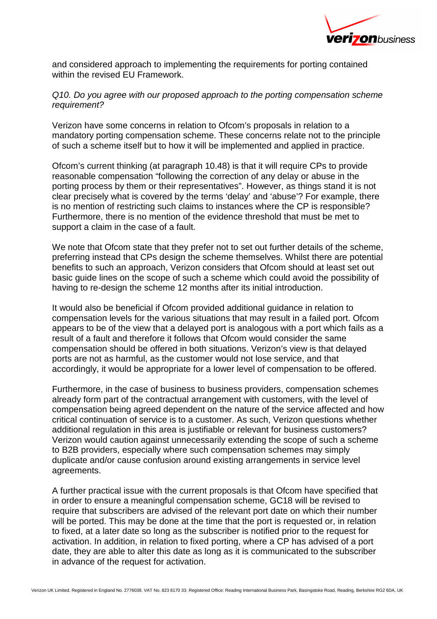

and considered approach to implementing the requirements for porting contained within the revised EU Framework.

# Q10. Do you agree with our proposed approach to the porting compensation scheme requirement?

Verizon have some concerns in relation to Ofcom's proposals in relation to a mandatory porting compensation scheme. These concerns relate not to the principle of such a scheme itself but to how it will be implemented and applied in practice.

Ofcom's current thinking (at paragraph 10.48) is that it will require CPs to provide reasonable compensation "following the correction of any delay or abuse in the porting process by them or their representatives". However, as things stand it is not clear precisely what is covered by the terms 'delay' and 'abuse'? For example, there is no mention of restricting such claims to instances where the CP is responsible? Furthermore, there is no mention of the evidence threshold that must be met to support a claim in the case of a fault.

We note that Ofcom state that they prefer not to set out further details of the scheme. preferring instead that CPs design the scheme themselves. Whilst there are potential benefits to such an approach, Verizon considers that Ofcom should at least set out basic guide lines on the scope of such a scheme which could avoid the possibility of having to re-design the scheme 12 months after its initial introduction.

It would also be beneficial if Ofcom provided additional guidance in relation to compensation levels for the various situations that may result in a failed port. Ofcom appears to be of the view that a delayed port is analogous with a port which fails as a result of a fault and therefore it follows that Ofcom would consider the same compensation should be offered in both situations. Verizon's view is that delayed ports are not as harmful, as the customer would not lose service, and that accordingly, it would be appropriate for a lower level of compensation to be offered.

Furthermore, in the case of business to business providers, compensation schemes already form part of the contractual arrangement with customers, with the level of compensation being agreed dependent on the nature of the service affected and how critical continuation of service is to a customer. As such, Verizon questions whether additional regulation in this area is justifiable or relevant for business customers? Verizon would caution against unnecessarily extending the scope of such a scheme to B2B providers, especially where such compensation schemes may simply duplicate and/or cause confusion around existing arrangements in service level agreements.

A further practical issue with the current proposals is that Ofcom have specified that in order to ensure a meaningful compensation scheme, GC18 will be revised to require that subscribers are advised of the relevant port date on which their number will be ported. This may be done at the time that the port is requested or, in relation to fixed, at a later date so long as the subscriber is notified prior to the request for activation. In addition, in relation to fixed porting, where a CP has advised of a port date, they are able to alter this date as long as it is communicated to the subscriber in advance of the request for activation.